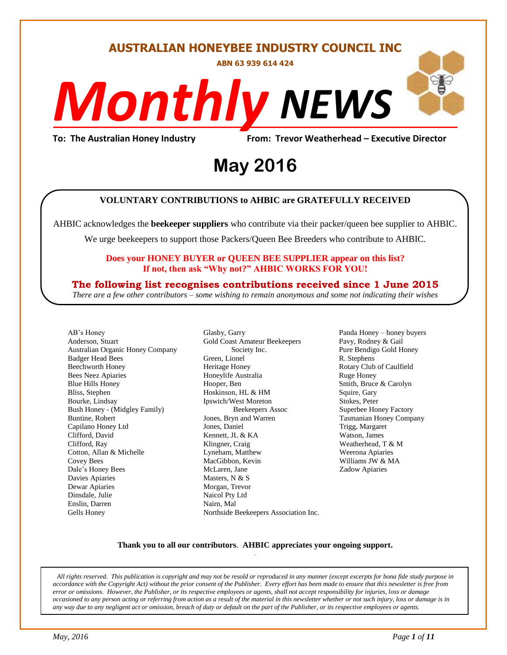# **AUSTRALIAN HONEYBEE INDUSTRY COUNCIL INC**

**ABN 63 939 614 424**

# *NEWS Monthly*

# To: The Australian Honey Industry From: Trevor Weatherhead – Executive Director<br>**May 2016 May 2016**

#### **VOLUNTARY CONTRIBUTIONS to AHBIC are GRATEFULLY RECEIVED**

AHBIC acknowledges the **beekeeper suppliers** who contribute via their packer/queen bee supplier to AHBIC.

We urge beekeepers to support those Packers/Queen Bee Breeders who contribute to AHBIC.

#### **Does your HONEY BUYER or QUEEN BEE SUPPLIER appear on this list? If not, then ask "Why not?" AHBIC WORKS FOR YOU!**

#### **The following list recognises contributions received since 1 June 2015**

*There are a few other contributors – some wishing to remain anonymous and some not indicating their wishes*

AB's Honey Anderson, Stuart Australian Organic Honey Company Badger Head Bees Beechworth Honey Bees Neez Apiaries Blue Hills Honey Bliss, Stephen Bourke, Lindsay Bush Honey - (Midgley Family) Buntine, Robert Capilano Honey Ltd Clifford, David Clifford, Ray Cotton, Allan & Michelle Covey Bees Dale's Honey Bees Davies Apiaries Dewar Apiaries Dinsdale, Julie Enslin, Darren Gells Honey

Glasby, Garry Gold Coast Amateur Beekeepers Society Inc. Green, Lionel Heritage Honey Honeylife Australia Hooper, Ben Hoskinson, HL & HM Ipswich/West Moreton Beekeepers Assoc Jones, Bryn and Warren Jones, Daniel Kennett, JL & KA Klingner, Craig Lyneham, Matthew MacGibbon, Kevin McLaren, Jane Masters, N & S Morgan, Trevor Naicol Pty Ltd Nairn, Mal Northside Beekeepers Association Inc. Panda Honey – honey buyers Pavy, Rodney & Gail Pure Bendigo Gold Honey R. Stephens Rotary Club of Caulfield Ruge Honey Smith, Bruce & Carolyn Squire, Gary Stokes, Peter Superbee Honey Factory Tasmanian Honey Company Trigg, Margaret Watson, James Weatherhead, T & M Weerona Apiaries Williams JW & MA Zadow Apiaries

#### **Thank you to all our contributors***.* **AHBIC appreciates your ongoing support.** .

*All rights reserved. This publication is copyright and may not be resold or reproduced in any manner (except excerpts for bona fide study purpose in accordance with the Copyright Act) without the prior consent of the Publisher. Every effort has been made to ensure that this newsletter is free from error or omissions. However, the Publisher, or its respective employees or agents, shall not accept responsibility for injuries, loss or damage occasioned to any person acting or referring from action as a result of the material in this newsletter whether or not such injury, loss or damage is in any way due to any negligent act or omission, breach of duty or default on the part of the Publisher, or its respective employees or agents.*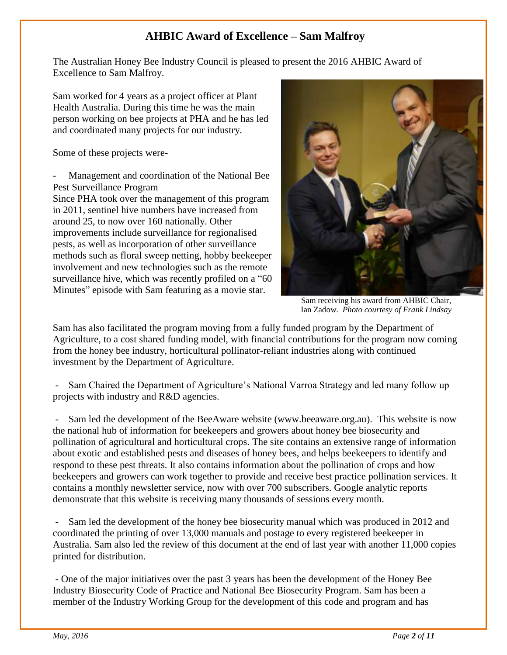# **AHBIC Award of Excellence – Sam Malfroy**

The Australian Honey Bee Industry Council is pleased to present the 2016 AHBIC Award of Excellence to Sam Malfroy.

Sam worked for 4 years as a project officer at Plant Health Australia. During this time he was the main person working on bee projects at PHA and he has led and coordinated many projects for our industry.

Some of these projects were-

Management and coordination of the National Bee Pest Surveillance Program

Since PHA took over the management of this program in 2011, sentinel hive numbers have increased from around 25, to now over 160 nationally. Other improvements include surveillance for regionalised pests, as well as incorporation of other surveillance methods such as floral sweep netting, hobby beekeeper involvement and new technologies such as the remote surveillance hive, which was recently profiled on a "60 Minutes" episode with Sam featuring as a movie star.



 Sam receiving his award from AHBIC Chair, Ian Zadow. *Photo courtesy of Frank Lindsay*

Sam has also facilitated the program moving from a fully funded program by the Department of Agriculture, to a cost shared funding model, with financial contributions for the program now coming from the honey bee industry, horticultural pollinator-reliant industries along with continued investment by the Department of Agriculture.

- Sam Chaired the Department of Agriculture's National Varroa Strategy and led many follow up projects with industry and R&D agencies.

Sam led the development of the BeeAware website (www.beeaware.org.au). This website is now the national hub of information for beekeepers and growers about honey bee biosecurity and pollination of agricultural and horticultural crops. The site contains an extensive range of information about exotic and established pests and diseases of honey bees, and helps beekeepers to identify and respond to these pest threats. It also contains information about the pollination of crops and how beekeepers and growers can work together to provide and receive best practice pollination services. It contains a monthly newsletter service, now with over 700 subscribers. Google analytic reports demonstrate that this website is receiving many thousands of sessions every month.

Sam led the development of the honey bee biosecurity manual which was produced in 2012 and coordinated the printing of over 13,000 manuals and postage to every registered beekeeper in Australia. Sam also led the review of this document at the end of last year with another 11,000 copies printed for distribution.

- One of the major initiatives over the past 3 years has been the development of the Honey Bee Industry Biosecurity Code of Practice and National Bee Biosecurity Program. Sam has been a member of the Industry Working Group for the development of this code and program and has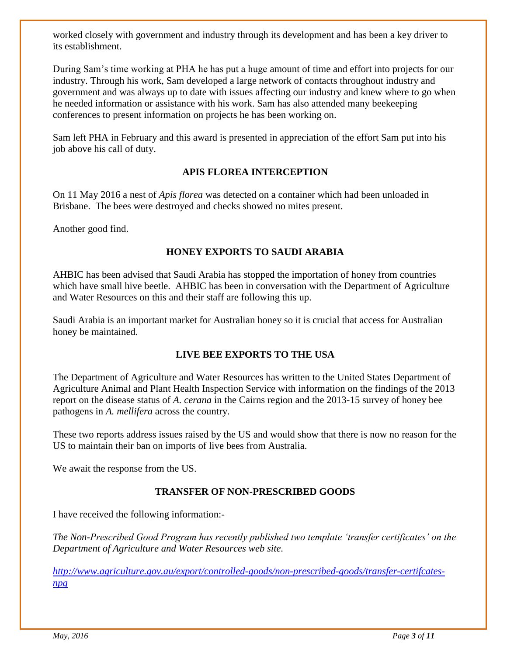worked closely with government and industry through its development and has been a key driver to its establishment.

During Sam's time working at PHA he has put a huge amount of time and effort into projects for our industry. Through his work, Sam developed a large network of contacts throughout industry and government and was always up to date with issues affecting our industry and knew where to go when he needed information or assistance with his work. Sam has also attended many beekeeping conferences to present information on projects he has been working on.

Sam left PHA in February and this award is presented in appreciation of the effort Sam put into his job above his call of duty.

# **APIS FLOREA INTERCEPTION**

On 11 May 2016 a nest of *Apis florea* was detected on a container which had been unloaded in Brisbane. The bees were destroyed and checks showed no mites present.

Another good find.

## **HONEY EXPORTS TO SAUDI ARABIA**

AHBIC has been advised that Saudi Arabia has stopped the importation of honey from countries which have small hive beetle. AHBIC has been in conversation with the Department of Agriculture and Water Resources on this and their staff are following this up.

Saudi Arabia is an important market for Australian honey so it is crucial that access for Australian honey be maintained.

#### **LIVE BEE EXPORTS TO THE USA**

The Department of Agriculture and Water Resources has written to the United States Department of Agriculture Animal and Plant Health Inspection Service with information on the findings of the 2013 report on the disease status of *A. cerana* in the Cairns region and the 2013-15 survey of honey bee pathogens in *A. mellifera* across the country.

These two reports address issues raised by the US and would show that there is now no reason for the US to maintain their ban on imports of live bees from Australia.

We await the response from the US.

#### **TRANSFER OF NON-PRESCRIBED GOODS**

I have received the following information:-

*The Non-Prescribed Good Program has recently published two template 'transfer certificates' on the Department of Agriculture and Water Resources web site.* 

*[http://www.agriculture.gov.au/export/controlled-goods/non-prescribed-goods/transfer-certifcates](http://www.agriculture.gov.au/export/controlled-goods/non-prescribed-goods/transfer-certifcates-npg)[npg](http://www.agriculture.gov.au/export/controlled-goods/non-prescribed-goods/transfer-certifcates-npg)*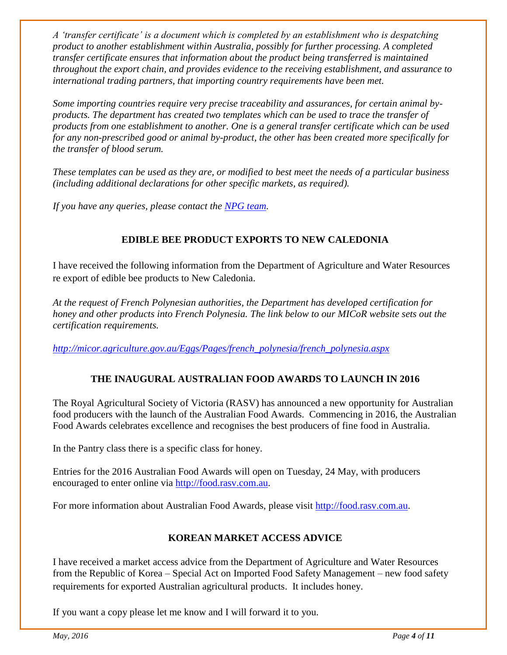*A 'transfer certificate' is a document which is completed by an establishment who is despatching product to another establishment within Australia, possibly for further processing. A completed transfer certificate ensures that information about the product being transferred is maintained throughout the export chain, and provides evidence to the receiving establishment, and assurance to international trading partners, that importing country requirements have been met.*

*Some importing countries require very precise traceability and assurances, for certain animal byproducts. The department has created two templates which can be used to trace the transfer of products from one establishment to another. One is a general transfer certificate which can be used for any non-prescribed good or animal by-product, the other has been created more specifically for the transfer of blood serum.*

*These templates can be used as they are, or modified to best meet the needs of a particular business (including additional declarations for other specific markets, as required).*

*If you have any queries, please contact the [NPG team.](mailto:npgexports@agriculture.gov.au?subject=Industry%20Enquiry%20-%20NPG%20Transfer%20Certificates)*

# **EDIBLE BEE PRODUCT EXPORTS TO NEW CALEDONIA**

I have received the following information from the Department of Agriculture and Water Resources re export of edible bee products to New Caledonia.

*At the request of French Polynesian authorities, the Department has developed certification for honey and other products into French Polynesia. The link below to our MICoR website sets out the certification requirements.*

*[http://micor.agriculture.gov.au/Eggs/Pages/french\\_polynesia/french\\_polynesia.aspx](http://micor.agriculture.gov.au/Eggs/Pages/french_polynesia/french_polynesia.aspx)*

# **THE INAUGURAL AUSTRALIAN FOOD AWARDS TO LAUNCH IN 2016**

The Royal Agricultural Society of Victoria (RASV) has announced a new opportunity for Australian food producers with the launch of the Australian Food Awards. Commencing in 2016, the Australian Food Awards celebrates excellence and recognises the best producers of fine food in Australia.

In the Pantry class there is a specific class for honey.

Entries for the 2016 Australian Food Awards will open on Tuesday, 24 May, with producers encouraged to enter online via [http://food.rasv.com.au.](http://food.rasv.com.au/)

For more information about Australian Food Awards, please visit [http://food.rasv.com.au.](http://food.rasv.com.au/)

# **KOREAN MARKET ACCESS ADVICE**

I have received a market access advice from the Department of Agriculture and Water Resources from the Republic of Korea – Special Act on Imported Food Safety Management – new food safety requirements for exported Australian agricultural products. It includes honey.

If you want a copy please let me know and I will forward it to you.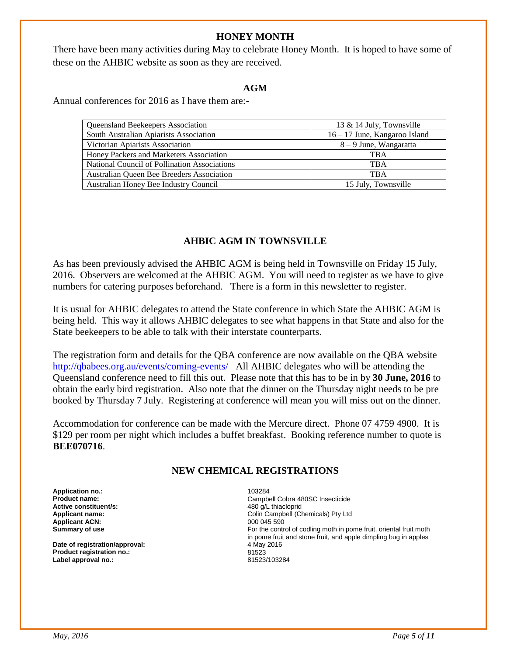#### **HONEY MONTH**

There have been many activities during May to celebrate Honey Month. It is hoped to have some of these on the AHBIC website as soon as they are received.

#### **AGM**

Annual conferences for 2016 as I have them are:-

| Queensland Beekeepers Association            | 13 $\&$ 14 July, Townsville     |
|----------------------------------------------|---------------------------------|
| South Australian Apiarists Association       | $16 - 17$ June, Kangaroo Island |
| Victorian Apiarists Association              | $8 - 9$ June, Wangaratta        |
| Honey Packers and Marketers Association      | <b>TBA</b>                      |
| National Council of Pollination Associations | <b>TRA</b>                      |
| Australian Queen Bee Breeders Association    | <b>TRA</b>                      |
| Australian Honey Bee Industry Council        | 15 July, Townsville             |

#### **AHBIC AGM IN TOWNSVILLE**

As has been previously advised the AHBIC AGM is being held in Townsville on Friday 15 July, 2016. Observers are welcomed at the AHBIC AGM. You will need to register as we have to give numbers for catering purposes beforehand. There is a form in this newsletter to register.

It is usual for AHBIC delegates to attend the State conference in which State the AHBIC AGM is being held. This way it allows AHBIC delegates to see what happens in that State and also for the State beekeepers to be able to talk with their interstate counterparts.

The registration form and details for the QBA conference are now available on the QBA website <http://qbabees.org.au/events/coming-events/> All AHBIC delegates who will be attending the Queensland conference need to fill this out. Please note that this has to be in by **30 June, 2016** to obtain the early bird registration. Also note that the dinner on the Thursday night needs to be pre booked by Thursday 7 July. Registering at conference will mean you will miss out on the dinner.

Accommodation for conference can be made with the Mercure direct. Phone 07 4759 4900. It is \$129 per room per night which includes a buffet breakfast. Booking reference number to quote is **BEE070716**.

#### **NEW CHEMICAL REGISTRATIONS**

**Application no.:** 103284 **Active constituent/s: Applicant ACN:** 000 045 590<br> **Summary of use** extending the state of the control of the control of the control of the control of the control of the control of the control of the control of the control of the control of th

Date of registration/approval: 4 May 2016 **Product registration no.:** 81523 **Label approval no.:** 

Campbell Cobra 480SC Insecticide<br>480 q/L thiacloprid **Applicant name:** Colin Campbell (Chemicals) Pty Ltd For the control of codling moth in pome fruit, oriental fruit moth in pome fruit and stone fruit, and apple dimpling bug in apples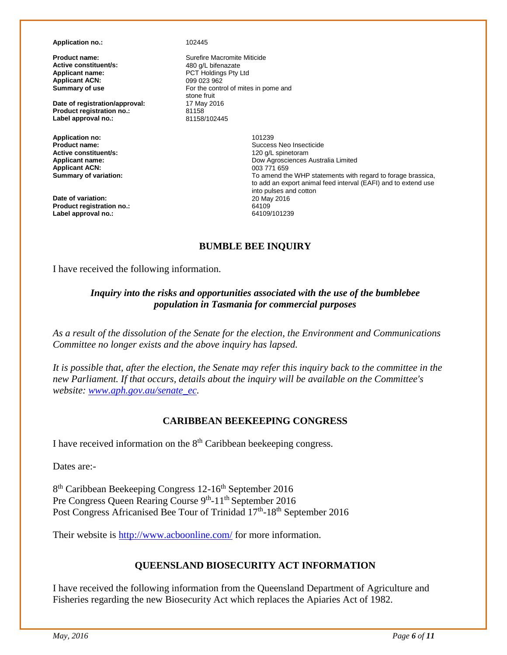**Application no.:** 102445

**Active constituent/s:**<br>**Applicant name: Applicant ACN:**<br>Summary of use

**Date of registration/approval:** 17 May **Product registration no.:** 81158 **Product registration no.:** 81158<br>
Label approval no.: 81158/102445 Label approval no.:

**Application no:** 101239 **Active constituent/s:**<br>Applicant name: **Applicant ACN:**<br>Summary of variation:

**Date of variation: Product registration no.:** 64109 **Label approval no.:** 

**Product name: Surefire Macromite Miticide**<br> **Active constituent/s:** 480 q/L bifenazate PCT Holdings Pty Ltd<br>099 023 962 For the control of mites in pome and stone fruit<br>17 May 2016

> Success Neo Insecticide<br>120 a/L spinetoram Dow Agrosciences Australia Limited<br>003 771 659 To amend the WHP statements with regard to forage brassica, to add an export animal feed interval (EAFI) and to extend use into pulses and cotton

## **BUMBLE BEE INQUIRY**

I have received the following information.

#### *Inquiry into the risks and opportunities associated with the use of the bumblebee population in Tasmania for commercial purposes*

*As a result of the dissolution of the Senate for the election, the Environment and Communications Committee no longer exists and the above inquiry has lapsed.*

*It is possible that, after the election, the Senate may refer this inquiry back to the committee in the new Parliament. If that occurs, details about the inquiry will be available on the Committee's website: [www.aph.gov.au/senate\\_ec.](http://www.aph.gov.au/senate_ec)* 

#### **CARIBBEAN BEEKEEPING CONGRESS**

I have received information on the  $8<sup>th</sup>$  Caribbean beekeeping congress.

Dates are:-

8<sup>th</sup> Caribbean Beekeeping Congress 12-16<sup>th</sup> September 2016 Pre Congress Queen Rearing Course 9<sup>th</sup>-11<sup>th</sup> September 2016 Post Congress Africanised Bee Tour of Trinidad 17<sup>th</sup>-18<sup>th</sup> September 2016

Their website is<http://www.acboonline.com/> for more information.

#### **QUEENSLAND BIOSECURITY ACT INFORMATION**

I have received the following information from the Queensland Department of Agriculture and Fisheries regarding the new Biosecurity Act which replaces the Apiaries Act of 1982.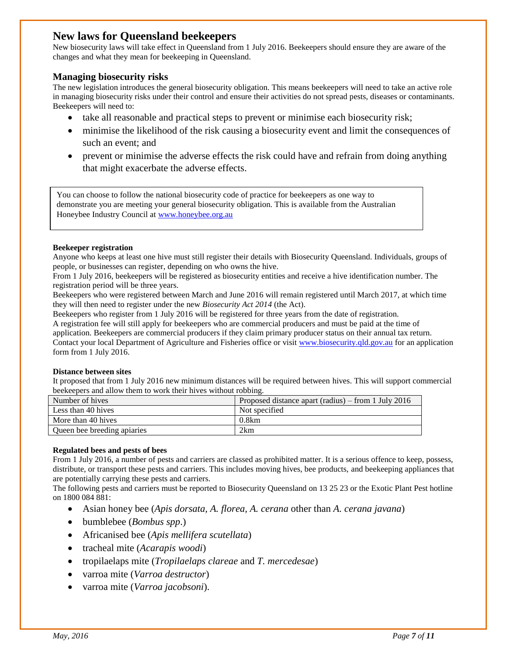## **New laws for Queensland beekeepers**

New biosecurity laws will take effect in Queensland from 1 July 2016. Beekeepers should ensure they are aware of the changes and what they mean for beekeeping in Queensland.

#### **Managing biosecurity risks**

The new legislation introduces the general biosecurity obligation. This means beekeepers will need to take an active role in managing biosecurity risks under their control and ensure their activities do not spread pests, diseases or contaminants. Beekeepers will need to:

- take all reasonable and practical steps to prevent or minimise each biosecurity risk;
- minimise the likelihood of the risk causing a biosecurity event and limit the consequences of such an event; and
- prevent or minimise the adverse effects the risk could have and refrain from doing anything that might exacerbate the adverse effects.

You can choose to follow the national biosecurity code of practice for beekeepers as one way to demonstrate you are meeting your general biosecurity obligation. This is available from the Australian Honeybee Industry Council at [www.honeybee.org.au](http://www.honeybee.org.au/)

#### **Beekeeper registration**

Anyone who keeps at least one hive must still register their details with Biosecurity Queensland. Individuals, groups of people, or businesses can register, depending on who owns the hive.

From 1 July 2016, beekeepers will be registered as biosecurity entities and receive a hive identification number. The registration period will be three years.

Beekeepers who were registered between March and June 2016 will remain registered until March 2017, at which time they will then need to register under the new *Biosecurity Act 2014* (the Act).

Beekeepers who register from 1 July 2016 will be registered for three years from the date of registration.

A registration fee will still apply for beekeepers who are commercial producers and must be paid at the time of application. Beekeepers are commercial producers if they claim primary producer status on their annual tax return. Contact your local Department of Agriculture and Fisheries office or visit [www.biosecurity.qld.gov.au](http://www.biosecurity.qld.gov.au/) for an application

form from 1 July 2016.

#### **Distance between sites**

It proposed that from 1 July 2016 new minimum distances will be required between hives. This will support commercial beekeepers and allow them to work their hives without robbing.

| Number of hives             | Proposed distance apart (radius) – from 1 July 2016 |
|-----------------------------|-----------------------------------------------------|
| Less than 40 hives          | Not specified                                       |
| More than 40 hives          | 0.8km                                               |
| Queen bee breeding apiaries | 2km                                                 |

#### **Regulated bees and pests of bees**

From 1 July 2016, a number of pests and carriers are classed as prohibited matter. It is a serious offence to keep, possess, distribute, or transport these pests and carriers. This includes moving hives, bee products, and beekeeping appliances that are potentially carrying these pests and carriers.

The following pests and carriers must be reported to Biosecurity Queensland on 13 25 23 or the Exotic Plant Pest hotline on 1800 084 881:

- Asian honey bee (*Apis dorsata, A. florea, A. cerana* other than *A. cerana javana*)
- bumblebee (*Bombus spp*.)
- Africanised bee (*Apis mellifera scutellata*)
- tracheal mite (*Acarapis woodi*)
- tropilaelaps mite (*Tropilaelaps clareae* and *T. mercedesae*)
- varroa mite (*Varroa destructor*)
- varroa mite (*Varroa jacobsoni*).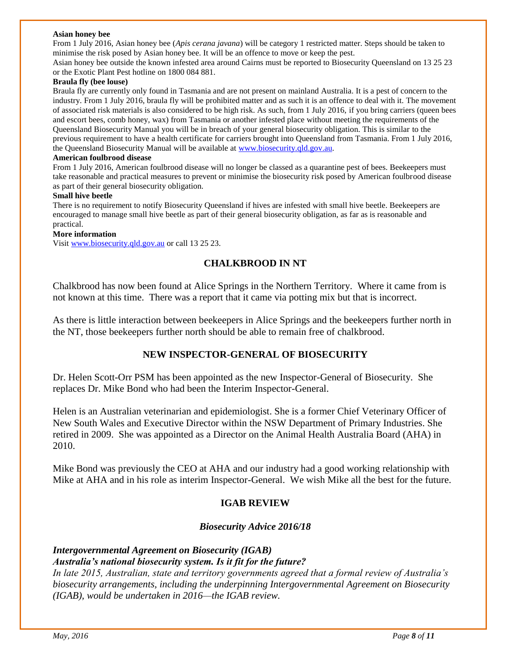#### **Asian honey bee**

From 1 July 2016, Asian honey bee (*Apis cerana javana*) will be category 1 restricted matter. Steps should be taken to minimise the risk posed by Asian honey bee. It will be an offence to move or keep the pest.

Asian honey bee outside the known infested area around Cairns must be reported to Biosecurity Queensland on 13 25 23 or the Exotic Plant Pest hotline on 1800 084 881.

#### **Braula fly (bee louse)**

Braula fly are currently only found in Tasmania and are not present on mainland Australia. It is a pest of concern to the industry. From 1 July 2016, braula fly will be prohibited matter and as such it is an offence to deal with it. The movement of associated risk materials is also considered to be high risk. As such, from 1 July 2016, if you bring carriers (queen bees and escort bees, comb honey, wax) from Tasmania or another infested place without meeting the requirements of the Queensland Biosecurity Manual you will be in breach of your general biosecurity obligation. This is similar to the previous requirement to have a health certificate for carriers brought into Queensland from Tasmania. From 1 July 2016, the Queensland Biosecurity Manual will be available at [www.biosecurity.qld.gov.au.](http://www.biosecurity.qld.gov.au/) 

#### **American foulbrood disease**

From 1 July 2016, American foulbrood disease will no longer be classed as a quarantine pest of bees. Beekeepers must take reasonable and practical measures to prevent or minimise the biosecurity risk posed by American foulbrood disease as part of their general biosecurity obligation.

#### **Small hive beetle**

There is no requirement to notify Biosecurity Queensland if hives are infested with small hive beetle. Beekeepers are encouraged to manage small hive beetle as part of their general biosecurity obligation, as far as is reasonable and practical.

#### **More information**

Visi[t www.biosecurity.qld.gov.au](http://www.biosecurity.qld.gov.au/) or call 13 25 23.

#### **CHALKBROOD IN NT**

Chalkbrood has now been found at Alice Springs in the Northern Territory. Where it came from is not known at this time. There was a report that it came via potting mix but that is incorrect.

As there is little interaction between beekeepers in Alice Springs and the beekeepers further north in the NT, those beekeepers further north should be able to remain free of chalkbrood.

#### **NEW INSPECTOR-GENERAL OF BIOSECURITY**

Dr. Helen Scott-Orr PSM has been appointed as the new Inspector-General of Biosecurity. She replaces Dr. Mike Bond who had been the Interim Inspector-General.

Helen is an Australian veterinarian and epidemiologist. She is a former Chief Veterinary Officer of New South Wales and Executive Director within the NSW Department of Primary Industries. She retired in 2009. She was appointed as a Director on the Animal Health Australia Board (AHA) in 2010.

Mike Bond was previously the CEO at AHA and our industry had a good working relationship with Mike at AHA and in his role as interim Inspector-General. We wish Mike all the best for the future.

#### **IGAB REVIEW**

#### *Biosecurity Advice 2016/18*

#### *Intergovernmental Agreement on Biosecurity (IGAB) Australia's national biosecurity system. Is it fit for the future?*

*In late 2015, Australian, state and territory governments agreed that a formal review of Australia's biosecurity arrangements, including the underpinning Intergovernmental Agreement on Biosecurity (IGAB), would be undertaken in 2016—the IGAB review.*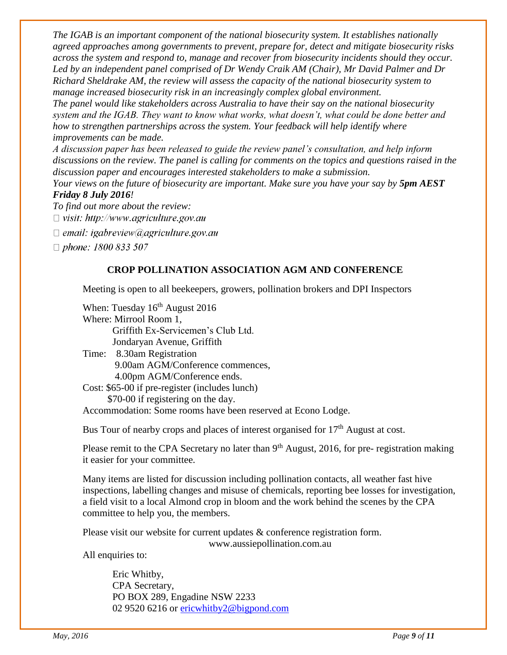*The IGAB is an important component of the national biosecurity system. It establishes nationally agreed approaches among governments to prevent, prepare for, detect and mitigate biosecurity risks across the system and respond to, manage and recover from biosecurity incidents should they occur. Led by an independent panel comprised of Dr Wendy Craik AM (Chair), Mr David Palmer and Dr Richard Sheldrake AM, the review will assess the capacity of the national biosecurity system to manage increased biosecurity risk in an increasingly complex global environment. The panel would like stakeholders across Australia to have their say on the national biosecurity system and the IGAB. They want to know what works, what doesn't, what could be done better and* 

*how to strengthen partnerships across the system. Your feedback will help identify where improvements can be made.* 

*A discussion paper has been released to guide the review panel's consultation, and help inform discussions on the review. The panel is calling for comments on the topics and questions raised in the discussion paper and encourages interested stakeholders to make a submission.* 

*Your views on the future of biosecurity are important. Make sure you have your say by*  $5pm AEST$ *Friday 8 July 2016!* 

*To find out more about the review:* 

 $\Box$  visit: http://www.agriculture.gov.au

 $\Box$  email: igabreview@agriculture.gov.au

 $\Box$  phone: 1800 833 507

#### **CROP POLLINATION ASSOCIATION AGM AND CONFERENCE**

Meeting is open to all beekeepers, growers, pollination brokers and DPI Inspectors

When: Tuesday  $16<sup>th</sup>$  August 2016 Where: Mirrool Room 1, Griffith Ex-Servicemen's Club Ltd. Jondaryan Avenue, Griffith Time: 8.30am Registration 9.00am AGM/Conference commences, 4.00pm AGM/Conference ends. Cost: \$65-00 if pre-register (includes lunch)

\$70-00 if registering on the day.

Accommodation: Some rooms have been reserved at Econo Lodge.

Bus Tour of nearby crops and places of interest organised for 17<sup>th</sup> August at cost.

Please remit to the CPA Secretary no later than 9<sup>th</sup> August, 2016, for pre- registration making it easier for your committee.

Many items are listed for discussion including pollination contacts, all weather fast hive inspections, labelling changes and misuse of chemicals, reporting bee losses for investigation, a field visit to a local Almond crop in bloom and the work behind the scenes by the CPA committee to help you, the members.

Please visit our website for current updates & conference registration form.

www.aussiepollination.com.au

All enquiries to:

Eric Whitby, CPA Secretary, PO BOX 289, Engadine NSW 2233 02 9520 6216 or [ericwhitby2@bigpond.com](mailto:ericwhitby2@bigpond.com)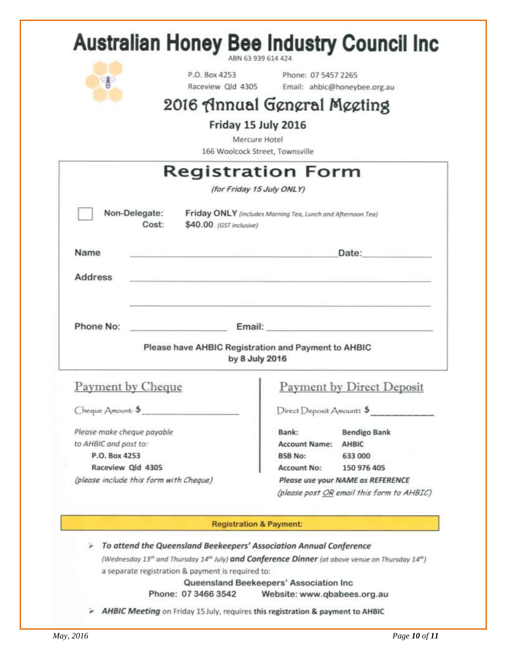| ¥                                      | P.O. Box 4253<br>Raceview Qld 4305                                                              | Phone: 07 5457 2265       | Email: ahbic@honeybee.org.au                                                                                                                                                                                                   |
|----------------------------------------|-------------------------------------------------------------------------------------------------|---------------------------|--------------------------------------------------------------------------------------------------------------------------------------------------------------------------------------------------------------------------------|
|                                        | 2016 Annual General Meeting                                                                     |                           |                                                                                                                                                                                                                                |
|                                        |                                                                                                 |                           |                                                                                                                                                                                                                                |
|                                        | Friday 15 July 2016<br>Mercure Hotel                                                            |                           |                                                                                                                                                                                                                                |
|                                        | 166 Woolcock Street, Townsville                                                                 |                           |                                                                                                                                                                                                                                |
|                                        | Registration Form                                                                               |                           |                                                                                                                                                                                                                                |
|                                        | (for Friday 15 July ONLY)                                                                       |                           |                                                                                                                                                                                                                                |
|                                        |                                                                                                 |                           |                                                                                                                                                                                                                                |
| Non-Delegate:<br>Cost:                 | Friday ONLY (includes Morning Tea, Lunch and Afternoon Tea)<br>\$40.00 (GST inclusive)          |                           |                                                                                                                                                                                                                                |
| Name                                   |                                                                                                 | Date:                     |                                                                                                                                                                                                                                |
|                                        |                                                                                                 |                           |                                                                                                                                                                                                                                |
|                                        |                                                                                                 |                           |                                                                                                                                                                                                                                |
| <b>Address</b>                         |                                                                                                 |                           |                                                                                                                                                                                                                                |
|                                        |                                                                                                 |                           |                                                                                                                                                                                                                                |
|                                        |                                                                                                 |                           |                                                                                                                                                                                                                                |
| Phone No:                              |                                                                                                 |                           | Email: Email: The Company of the Company of the Company of the Company of the Company of the Company of the Company of the Company of the Company of the Company of the Company of the Company of the Company of the Company o |
|                                        | Please have AHBIC Registration and Payment to AHBIC                                             |                           |                                                                                                                                                                                                                                |
|                                        | by 8 July 2016                                                                                  |                           |                                                                                                                                                                                                                                |
|                                        |                                                                                                 |                           |                                                                                                                                                                                                                                |
| Payment by Cheque                      |                                                                                                 |                           |                                                                                                                                                                                                                                |
| Cheque Amount: \$                      |                                                                                                 | Direct Deposit Amount: \$ | <b>Payment by Direct Deposit</b>                                                                                                                                                                                               |
| Please make cheque payable             |                                                                                                 | Bank:                     | <b>Bendigo Bank</b>                                                                                                                                                                                                            |
| to AHBIC and post to:                  |                                                                                                 | Account Name: AHBIC       |                                                                                                                                                                                                                                |
| P.O. Box 4253                          |                                                                                                 | <b>BSB No:</b>            | 633 000                                                                                                                                                                                                                        |
| Raceview Qld 4305                      |                                                                                                 | <b>Account No:</b>        | 150 976 405                                                                                                                                                                                                                    |
| (please include this form with Cheque) |                                                                                                 |                           | Please use your NAME as REFERENCE                                                                                                                                                                                              |
|                                        |                                                                                                 |                           |                                                                                                                                                                                                                                |
|                                        |                                                                                                 |                           |                                                                                                                                                                                                                                |
|                                        | <b>Registration &amp; Payment:</b>                                                              |                           |                                                                                                                                                                                                                                |
|                                        |                                                                                                 |                           |                                                                                                                                                                                                                                |
|                                        | To attend the Queensland Beekeepers' Association Annual Conference                              |                           |                                                                                                                                                                                                                                |
|                                        | (Wednesday 13th and Thursday 14th July) and Conference Dinner (at above venue on Thursday 14th) |                           | (please post OR email this form to AHBIC)                                                                                                                                                                                      |
|                                        | a separate registration & payment is required to:<br>Queensland Beekeepers' Association Inc     |                           |                                                                                                                                                                                                                                |